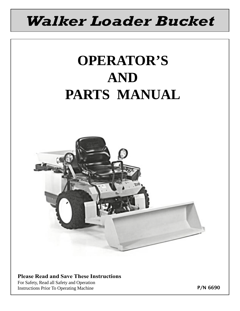## Walker Loader Bucket

# **OPERATOR'S AND PARTS MANUAL**



#### Please Read and Save These Instructions

For Safety, Read all Safety and Operation Instructions Prior To Operating Machine

P/N 6690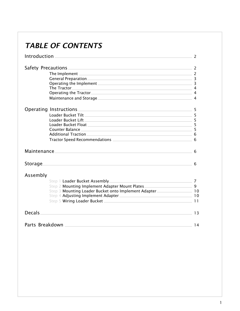### TABLE OF CONTENTS

|               | Introduction and the contract of the contract of the contract of the contract of the contract of the contract of the contract of the contract of the contract of the contract of the contract of the contract of the contract | 2   |  |
|---------------|-------------------------------------------------------------------------------------------------------------------------------------------------------------------------------------------------------------------------------|-----|--|
|               |                                                                                                                                                                                                                               |     |  |
|               | The Implement 2                                                                                                                                                                                                               |     |  |
|               | General Preparation 3                                                                                                                                                                                                         |     |  |
|               | Operating the Implement 3                                                                                                                                                                                                     |     |  |
|               | The Tractor 4                                                                                                                                                                                                                 |     |  |
|               | Operating the Tractor 4                                                                                                                                                                                                       |     |  |
|               | Maintenance and Storage Maintenance and Storage Annual Assembly of the Assembly Assembly Assembly Assembly Ass                                                                                                                |     |  |
|               |                                                                                                                                                                                                                               | 5   |  |
|               |                                                                                                                                                                                                                               |     |  |
|               |                                                                                                                                                                                                                               |     |  |
|               | Loader Bucket Float <b>Execute Server Server Server Server Server Server Server Server Server Server Server Server</b>                                                                                                        | - 5 |  |
|               | Counter Balance 5 and 5 and 5 and 5 and 5 and 5 and 5 and 5 and 5 and 5 and 5 and 5 and 5 and 5 and 5 and 5 and 5 and 5 and 5 and 5 and 5 and 5 and 5 and 5 and 5 and 5 and 5 and 5 and 5 and 5 and 5 and 5 and 5 and 5 and 5 |     |  |
|               | Additional Traction 6                                                                                                                                                                                                         |     |  |
|               | Tractor Speed Recommendations 2008 2012 2022 2023 2024 2024 2022 2023 2024 2022 2023 2024 2022 2023 2024 2022 20                                                                                                              |     |  |
| Maintenance.  |                                                                                                                                                                                                                               |     |  |
| Storage.      | and the control of the control of the control of the control of the control of the control of the control of the                                                                                                              | 6   |  |
| Assembly      |                                                                                                                                                                                                                               |     |  |
|               | Step 1 Loader Bucket Assembly 7                                                                                                                                                                                               |     |  |
|               | Step 2 Mounting Implement Adapter Mount Plates__________________________________ 9                                                                                                                                            |     |  |
|               | Step 3 Mounting Loader Bucket onto Implement Adapter____________________ 10                                                                                                                                                   |     |  |
|               |                                                                                                                                                                                                                               |     |  |
|               |                                                                                                                                                                                                                               |     |  |
| <b>Decals</b> |                                                                                                                                                                                                                               | 13  |  |
|               |                                                                                                                                                                                                                               |     |  |
|               |                                                                                                                                                                                                                               | 14  |  |
|               |                                                                                                                                                                                                                               |     |  |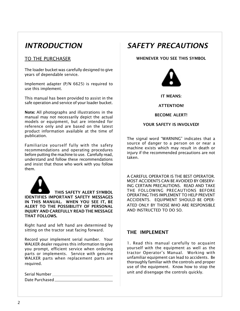### <span id="page-2-0"></span>**INTRODUCTION**

#### TO THE PURCHASER

The loader bucket was carefully designed to give years of dependable service.

Implement adapter (P/N 6625) is required to use this implement.

This manual has been provided to assist in the safe operation and service of your loader bucket.

Note: All photographs and illustrations in the manual may not necessarily depict the actual models or equipment, but are intended for reference only and are based on the latest product information available at the time of publication.

Familiarize yourself fully with the safety recommendations and operating procedures before putting the machine to use. Carefully read, understand and follow these recommendations and insist that those who work with you follow them.



 THIS SAFETY ALERT SYMBOL IDENTIFIES IMPORTANT SAFETY MESSAGES IN THIS MANUAL. WHEN YOU SEE IT, BE ALERT TO THE POSSIBILITY OF PERSONAL INJURY AND CAREFULLY READ THE MESSAGE THAT FOLLOWS.

Right hand and left hand are determined by sitting on the tractor seat facing forward.

Record your implement serial number. Your WALKER dealer requires this information to give you prompt, efficient service when ordering parts or implements. Service with genuine WALKER parts when replacement parts are required.

Serial Number Date Purchased

### SAFETY PRECAUTIONS

WHENEVER YOU SEE THIS SYMBOL



IT MEANS:

#### ATTENTION!

BECOME ALERT!

#### YOUR SAFETY IS INVOLVED!

The signal word "WARNING" indicates that a source of danger to a person on or near a machine exists which may result in death or injury if the recommended precautions are not taken.

A CAREFUL OPERATOR IS THE BEST OPERATOR. MOST ACCIDENTS CAN BE AVOIDED BY OBSERV-ING CERTAIN PRECAUTIONS. READ AND TAKE THE FOLLOWING PRECAUTIONS BEFORE OPERATING THIS IMPLEMENT TO HELP PREVENT ACCIDENTS. EQUIPMENT SHOULD BE OPER-ATED ONLY BY THOSE WHO ARE RESPONSIBLE AND INSTRUCTED TO DO SO.

#### THE IMPLEMENT

1. Read this manual carefully to acquaint yourself with the equipment as well as the tractor Operator's Manual. Working with unfamiliar equipment can lead to accidents. Be thoroughly familiar with the controls and proper use of the equipment. Know how to stop the unit and disengage the controls quickly.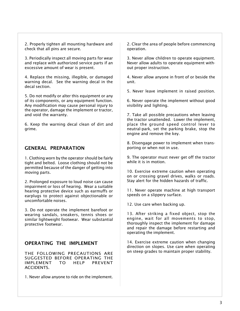<span id="page-3-0"></span>2. Properly tighten all mounting hardware and check that all pins are secure.

3. Periodically inspect all moving parts for wear and replace with authorized service parts if an excessive amount of wear is present.

4. Replace the missing, illegible, or damaged warning decal. See the warning decal in the decal section.

5. Do not modify or alter this equipment or any of its components, or any equipment function. Any modification may cause personal injury to the operator, damage the implement or tractor, and void the warranty.

6. Keep the warning decal clean of dirt and grime.

#### GENERAL PREPARATION

1. Clothing worn by the operator should be fairly tight and belted. Loose clothing should not be permitted because of the danger of getting into moving parts.

2. Prolonged exposure to loud noise can cause impairment or loss of hearing. Wear a suitable hearing protective device such as earmuffs or earplugs to protect against objectionable or uncomfortable noises.

3. Do not operate the implement barefoot or wearing sandals, sneakers, tennis shoes or similar lightweight footwear. Wear substantial protective footwear.

#### OPERATING THE IMPLEMENT

THE FOLLOWING PRECAUTIONS ARE SUGGESTED BEFORE OPERATING THE IMPLEMENT TO HELP PREVENT ACCIDENTS.

1. Never allow anyone to ride on the implement.

2. Clear the area of people before commencing operation.

3. Never allow children to operate equipment. Never allow adults to operate equipment without proper instruction.

4. Never allow anyone in front of or beside the unit.

5. Never leave implement in raised position.

6. Never operate the implement without good visibility and lighting.

7. Take all possible precautions when leaving the tractor unattended. Lower the implement, place the ground speed control lever to neutral-park, set the parking brake, stop the engine and remove the key.

8. Disengage power to implement when transporting or when not in use.

9. The operator must never get off the tractor while it is in motion.

10. Exercise extreme caution when operating on or crossing gravel drives, walks or roads. Stay alert for the hidden hazards of traffic.

11. Never operate machine at high transport speeds on a slippery surface.

12. Use care when backing up.

13. After striking a fixed object, stop the engine, wait for all movements to stop, thoroughly inspect the implement for damage and repair the damage before restarting and operating the implement.

14. Exercise extreme caution when changing direction on slopes. Use care when operating on steep grades to maintain proper stability.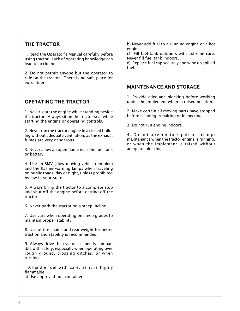#### THE TRACTOR

1. Read the Operator's Manual carefully before using tractor. Lack of operating knowledge can lead to accidents.

2. Do not permit anyone but the operator to ride on the tractor. There is no safe place for extra riders.

#### OPERATING THE TRACTOR

1. Never start the engine while standing beside the tractor. Always sit on the tractor seat while starting the engine or operating controls.

2. Never run the tractor engine in a closed building without adequate ventilation, as the exhaust fumes are very dangerous.

3. Never allow an open flame near the fuel tank or battery.

4. Use an SMV (slow moving vehicle) emblem and the flasher warning lamps when traveling on public roads, day or night, unless prohibited by law in your state.

5. Always bring the tractor to a complete stop and shut off the engine before getting off the tractor.

6. Never park the tractor on a steep incline.

7. Use care when operating on steep grades to maintain proper stability.

8. Use of tire chains and rear weight for better traction and stability is recommended.

9. Always drive the tractor at speeds compatible with safety, especially when operating over rough ground, crossing ditches, or when turning.

10.Handle fuel with care, as it is highly flammable. a) Use approved fuel container.

b) Never add fuel to a running engine or a hot engine.

c) Fill fuel tank outdoors with extreme care. Never fill fuel tank indoors.

d) Replace fuel cap securely and wipe up spilled fuel.

#### MAINTENANCE AND STORAGE

1. Provide adequate blocking before working under the implement when in raised position.

2. Make certain all moving parts have stopped before cleaning, repairing or inspecting.

3. Do not run engine indoors.

4. Do not attempt to repair or attempt maintenance when the tractor engine is running, or when the implement is raised without adequate blocking.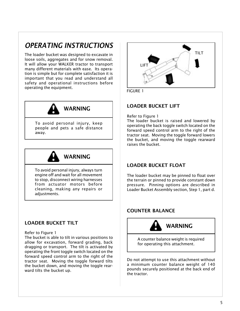### OPERATING INSTRUCTIONS

The loader bucket was designed to excavate in loose soils, aggregates and for snow removal. It will allow your WALKER tractor to transport many different materials with ease. Its operation is simple but for complete satisfaction it is important that you read and understand all safety and operational instructions before operating the equipment.  $\overline{F(GURE_1)}$ 



away.



To avoid personal injury, always turn engine off and wait for all movement to stop, disconnect wiring harnesses from actuator motors before cleaning, making any repairs or adjustments.

#### LOADER BUCKET TILT

#### Refer to Figure 1

The bucket is able to tilt in various positions to allow for excavation, forward grading, back dragging or transport. The tilt is activated by operating the front toggle switch located on the forward speed control arm to the right of the tractor seat. Moving the toggle forward tilts the bucket down, and moving the toggle rearward tilts the bucket up.



#### LOADER BUCKET LIFT

Refer to Figure 1

The loader bucket is raised and lowered by operating the back toggle switch located on the forward speed control arm to the right of the tractor seat. Moving the toggle forward lowers the bucket, and moving the toggle rearward raises the bucket.

#### LOADER BUCKET FLOAT

The loader bucket may be pinned to float over the terrain or pinned to provide constant down pressure. Pinning options are described in Loader Bucket Assembly section, Step 1, part d.

#### COUNTER BALANCE



A counter balance weight is required for operating this attachment.

Do not attempt to use this attachment without a minimum counter balance weight of 140 pounds securely positioned at the back end of the tractor.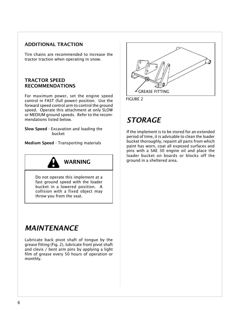#### <span id="page-6-0"></span>ADDITIONAL TRACTION

Tire chains are recommended to increase the tractor traction when operating in snow.

#### TRACTOR SPEED RECOMMENDATIONS

For maximum power, set the engine speed control in FAST (full power) position. Use the forward speed control arm to control the ground speed. Operate this attachment at only SLOW or MEDIUM ground speeds. Refer to the recommendations listed below.

Slow Speed - Excavation and loading the bucket

Medium Speed - Transporting materials



Do not operate this implement at a fast ground speed with the loader bucket in a lowered position. A collision with a fixed object may throw you from the seat.

### MAINTENANCE

Lubricate back pivot shaft of tongue by the grease fitting (Fig. 2), lubricate front pivot shaft and clevis / bent arm pins by applying a light film of grease every 50 hours of operation or monthly.





### STORAGE

If the implement is to be stored for an extended period of time, it is advisable to clean the loader bucket thoroughly, repaint all parts from which paint has worn, coat all exposed surfaces and pins with a SAE 30 engine oil and place the loader bucket on boards or blocks off the ground in a sheltered area.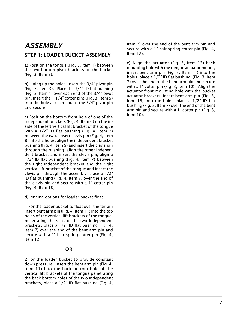### ASSEMBLY

#### STEP 1: LOADER BUCKET ASSEMBLY

a) Position the tongue (Fig. 3, Item 1) between the two bottom pivot brackets on the bucket (Fig. 3, Item 2).

b) Lining up the holes, insert the 3/4" pivot pin (Fig. 3, Item 3). Place the 3/4" ID flat bushing (Fig. 3, Item 4) over each end of the 3/4" pivot pin, insert the 1-1/4" cotter pins (Fig. 3, Item 5) into the hole at each end of the 3/4" pivot pin and secure.

c) Position the bottom front hole of one of the independent brackets (Fig. 4, Item 6) on the inside of the left vertical lift bracket of the tongue with a 1/2" ID flat bushing (Fig. 4, Item 7) between the two. Insert clevis pin (Fig. 4, Item 8) into the holes, align the independent bracket bushing (Fig. 4, Item 9) and insert the clevis pin through the bushing, align the other independent bracket and insert the clevis pin, align a 1/2" ID flat bushing (Fig. 4, Item 7) between the right independent bracket and the right vertical lift bracket of the tongue and insert the clevis pin through the assembly, place a 1/2" ID flat bushing (Fig. 4, Item 7) over the end of the clevis pin and secure with a 1" cotter pin (Fig. 4, Item 10).

#### d) Pinning options for loader bucket float

1.For the loader bucket to float over the terrain Insert bent arm pin (Fig. 4, Item 11) into the top holes of the vertical lift brackets of the tongue, penetrating the slots of the two independent brackets, place a 1/2" ID flat bushing (Fig. 4, Item 7) over the end of the bent arm pin and secure with a 1" hair spring cotter pin (Fig. 4, Item 12).

#### OR

2.For the loader bucket to provide constant down pressure Insert the bent arm pin (Fig. 4, Item 11) into the back bottom hole of the vertical lift brackets of the tongue penetrating the back bottom holes of the two independent brackets, place a 1/2" ID flat bushing (Fig. 4,

Item 7) over the end of the bent arm pin and secure with a 1" hair spring cotter pin (Fig. 4, Item 12).

e) Align the actuator (Fig. 3, Item 13) back mounting hole with the tongue actuator mount, insert bent arm pin (Fig. 3, Item 14) into the holes, place a 1/2" ID flat bushing (Fig. 3, Item 7) over the end of the bent arm pin and secure with a 1" cotter pin (Fig. 3, Item 10). Align the actuator front mounting hole with the bucket actuator brackets, insert bent arm pin (Fig. 3, Item 15) into the holes, place a 1/2" ID flat bushing (Fig. 3, Item 7) over the end of the bent arm pin and secure with a 1" cotter pin (Fig. 3, Item 10).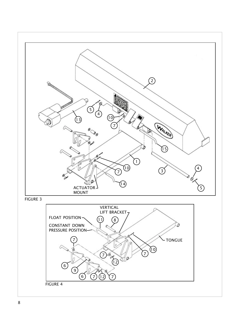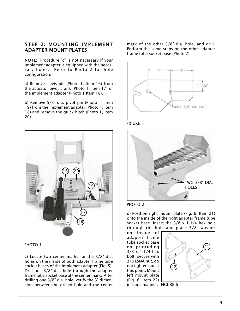#### STEP 2: MOUNTING IMPLEMENT ADAPTER MOUNT PLATES

NOTE: Procedure "c" is not necessary if your implement adapter is equipped with the necessary holes. Refer to Photo 2 for hole configuration.

a) Remove clevis pin (Photo 1, Item 16) from the actuator pivot crank (Photo 1, Item 17) of the implement adapter (Photo 1 Item 18).

b) Remove 5/8" dia. pivot pin (Photo 1, Item 19) from the implement adapter (Photo 1, Item 18) and remove the quick hitch (Photo 1, Item 20).



PHOTO 1

c) Locate two center marks for the 3/8" dia. holes on the inside of both adapter frame tube socket bases of the implement adapter (Fig. 5). Drill one 3/8" dia. hole through the adapter frame tube socket base at the center mark. After drilling one 3/8" dia. hole, verify the 3" dimension between the drilled hole and the center

mark of the other 3/8" dia. hole, and drill. Perform the same steps on the other adapter frame tube socket base (Photo 2).



FIGURE 5





d) Position right mount plate (Fig. 6, Item 21) onto the inside of the right adapter frame tube socket base. Insert the 3/8 x 1-1/4 hex bolt through the hole and place  $3/8$ " washer

on inside of adapter frame tube socket base on protruding 3/8 x 1-1/4 hex bolt, secure with 3/8 ESNA nut, do not tighten nut at this point. Mount left mount plate (Fig. 6, Item 22)



in same manner. FIGURE 6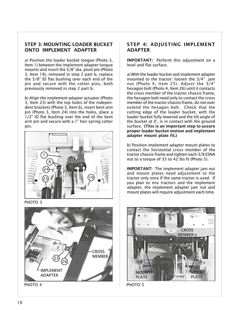#### STEP 3: MOUNTING LOADER BUCKET ONTO IMPLEMENT ADAPTER

a) Position the loader bucket tongue (Photo 3, Item 1) between the implement adapter tongue mounts and insert the  $5/8$ " dia. pivot pin (Photo 3, Item 19), removed in step 2 part b, replace the 5/8" ID flat bushing over each end of the pin and secure with the cotter pins, both previously removed in step 2 part b.

b) Align the implement adapter actuator (Photo 3, Item 23) with the top holes of the independent brackets (Photo 3, Item 6), insert bent arm pin (Photo 3, Item 24) into the holes, place a 1/2" ID flat bushing over the end of the bent arm pin and secure with a 1" hair spring cotter pin.



PHOTO<sub>3</sub>



#### STEP 4: ADJUSTING IMPLEMENT ADAPTER

IMPORTANT: Perform this adjustment on a level and flat surface.

a) With the loader bucket and implement adapter mounted to the tractor: loosen the  $3/4$ " jam nut (Photo 4, Item 25). Adjust the 3/4 hexagon bolt (Photo 4, Item 26) until it contacts the cross member of the tractor chassis frame, the hexagon bolt need only to contact the cross member of the tractor chassis frame, do not over extend the hexagon bolt. Check that the cutting edge of the loader bucket, with the loader bucket fully lowered and the tilt angle of the bucket at 0°, is in contact with the ground surface. (This is an important step to assure proper loader bucket motion and implement adapter mount plate fit.)

b) Position implement adapter mount plates to contact the horizontal cross member of the tractor chassis frame and tighten each 3/8 ESNA nut to a torque of 35 to 42 lbs-ft (Photo 5).

IMPORTANT: The implement adapter jam nut and mount plates need adjustment to the tractor only once if the same tractor is used. If you plan to mix tractors and the implement adapter, the implement adapter jam nut and mount plates will require adjustment each time.

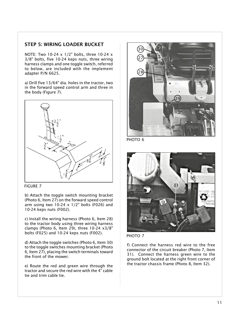#### STEP 5: WIRING LOADER BUCKET

NOTE: Two 10-24 x 1/2" bolts, three 10-24 x 3/8" bolts, five 10-24 keps nuts, three wiring harness clamps and one toggle switch, referred to below, are included with the implement adapter P/N 6625.

a) Drill five 13/64" dia. holes in the tractor, two in the forward speed control arm and three in the body (Figure 7).



FIGURE 7

b) Attach the toggle switch mounting bracket (Photo 6, Item 27) on the forward speed control arm using two  $10-24 \times 1/2$ " bolts (F026) and 10-24 keps nuts (F002).

c) Install the wiring harness (Photo 6, Item 28) to the tractor body using three wiring harness clamps (Photo 6, Item 29), three 10-24 x3/8" bolts (F025) and 10-24 keps nuts (F002).

d) Attach the toggle switches (Photo 6, Item 30) to the toggle switches mounting bracket (Photo 6, Item 27), placing the switch terminals toward the front of the mower.

e) Route the red and green wire through the tractor and secure the red wire with the 4" cable tie and trim cable tie.



PHOTO<sub>6</sub>





f) Connect the harness red wire to the free connector of the circuit breaker (Photo 7, Item 31). Connect the harness green wire to the ground bolt located at the right front corner of the tractor chassis frame (Photo 8, Item 32).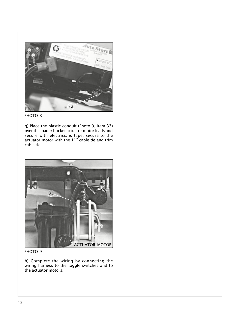



g) Place the plastic conduit (Photo 9, Item 33) over the loader bucket actuator motor leads and secure with electricians tape, secure to the actuator motor with the 11" cable tie and trim cable tie.



PHOTO<sub>9</sub>

h) Complete the wiring by connecting the wiring harness to the toggle switches and to the actuator motors.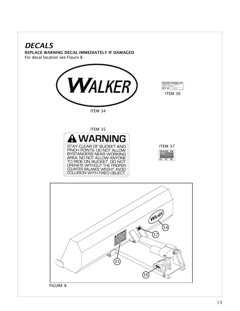### <span id="page-13-0"></span>**DECALS**

REPLACE WARNING DECAL IMMEDIATELY IF DAMAGED For decal location see Figure 8.



**BER NO.** 0123 [ITEM 36](#page-14-0)

BOWERS DESIGNS, INC.

[ITEM 34](#page-14-0)



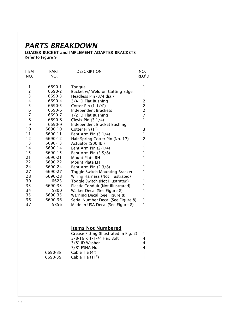### <span id="page-14-0"></span>PARTS BREAKDOWN

#### LOADER BUCKET and IMPLEMENT ADAPTER BRACKETS Refer to Figure 9

| <b>ITEM</b>    | <b>PART</b> | <b>DESCRIPTION</b>                 | NO.   |
|----------------|-------------|------------------------------------|-------|
| NO.            | NO.         |                                    | REQ'D |
| 1              | 6690-1      | Tongue                             |       |
| 2              | 6690-2      | Bucket w/ Weld on Cutting Edge     |       |
| 3              | 6690-3      | Headless Pin (3/4 dia.)            |       |
| 4              | 6690-4      | 3/4 ID Flat Bushing                | 2     |
| 5              | 6690-5      | Cotter Pin $(1-1/4)$               | 2     |
| $\overline{6}$ | 6690-6      | <b>Independent Brackets</b>        | 2     |
| $\overline{7}$ | 6690-7      | 1/2 ID Flat Bushing                | 7     |
| 8              | 6690-8      | Clevis Pin $(3-1/4)$               |       |
| 9              | 6690-9      | Independent Bracket Bushing        |       |
| 10             | 6690-10     | Cotter Pin (1")                    | 3     |
| 11             | 6690-11     | Bent Arm Pin $(3-1/4)$             |       |
| 12             | 6690-12     | Hair Spring Cotter Pin (No. 17)    | 2     |
| 13             | 6690-13     | Actuator (500 lb.)                 |       |
| 14             | 6690-14     | Bent Arm Pin $(2-1/4)$             |       |
| 15             | 6690-15     | Bent Arm Pin (5-5/8)               |       |
| 21             | 6690-21     | <b>Mount Plate RH</b>              |       |
| 22             | 6690-22     | Mount Plate LH                     |       |
| 24             | 6690-24     | Bent Arm Pin (2-3/8)               |       |
| 27             | 6690-27     | Toggle Switch Mounting Bracket     |       |
| 28             | 6690-28     | Wiring Harness (Not Illustrated)   |       |
| 30             | 6623        | Toggle Switch (Not Illustrated)    |       |
| 33             | 6690-33     | Plastic Conduit (Not Illustrated)  |       |
| 34             | 5800        | Walker Decal (See Figure 8)        |       |
| 35             | 6690-35     | Warning Decal (See Figure 8)       |       |
| 36             | 6690-36     | Serial Number Decal (See Figure 8) |       |
| 37             | 5856        | Made in USA Decal (See Figure 8)   | 1     |

#### Items Not Numbered

|         | Grease Fitting (Illustrated in Fig. 2) |   |
|---------|----------------------------------------|---|
|         | $3/8 - 16 \times 1 - 1/4$ " Hex Bolt   | 4 |
|         | 3/8" ID Washer                         | 4 |
|         | 3/8" ESNA Nut                          | 4 |
| 6690-38 | Cable Tie (4")                         |   |
| 6690-39 | Cable Tie (11")                        |   |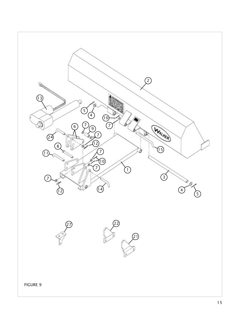<span id="page-15-0"></span>